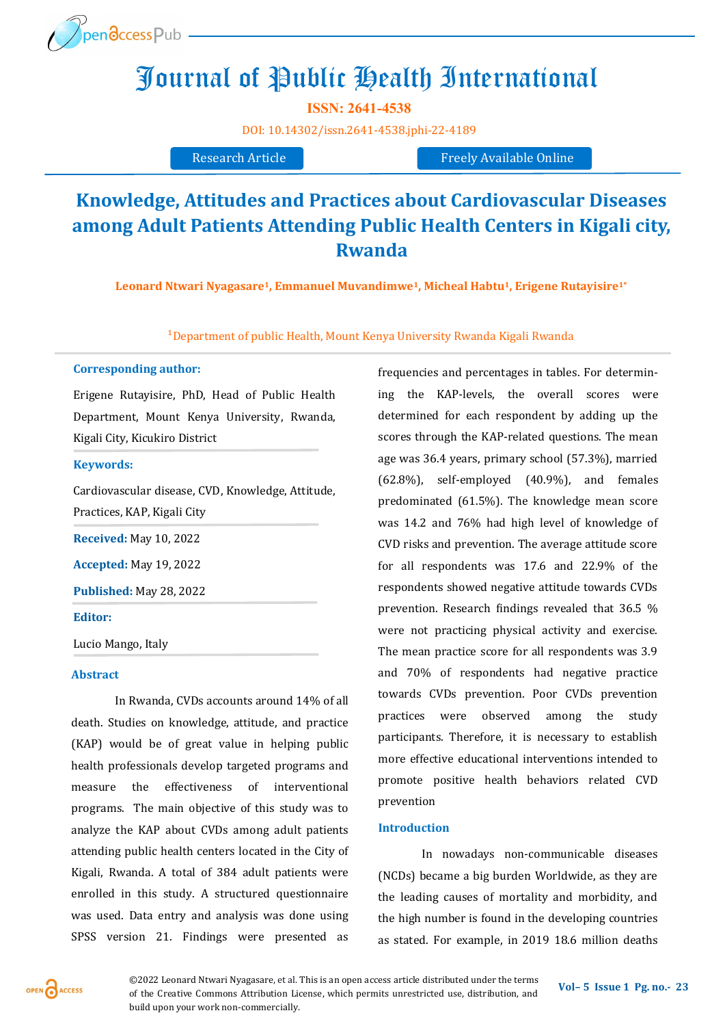

# Journal of Public Health International

**ISSN: 2641-4538** 

[DOI:](https://doi.org/10.14302/issn.2639-3166.jar-21-3872) [10.14302/issn.2641](https://doi.org/10.14302/issn.2641-4538.jphi-22-4189)-4538.jphi-22-4189

Research Article Freely Available Online

## **Knowledge, Attitudes and Practices about Cardiovascular Diseases among Adult Patients Attending Public Health Centers in Kigali city, Rwanda**

**Leonard Ntwari Nyagasare1, Emmanuel Muvandimwe1, Micheal Habtu1, Erigene Rutayisire1\***

<sup>1</sup>Department of public Health, Mount Kenya University Rwanda Kigali Rwanda

#### **Corresponding author:**

Erigene Rutayisire, PhD, Head of Public Health Department, Mount Kenya University, Rwanda, Kigali City, Kicukiro District

#### **Keywords:**

Cardiovascular disease, CVD, Knowledge, Attitude, Practices, KAP, Kigali City

**Received:** May 10, 2022

**Accepted:** May 19, 2022

**Published:** May 28, 2022

#### **Editor:**

Lucio Mango, Italy

#### **Abstract**

In Rwanda, CVDs accounts around 14% of all death. Studies on knowledge, attitude, and practice (KAP) would be of great value in helping public health professionals develop targeted programs and measure the effectiveness of interventional programs. The main objective of this study was to analyze the KAP about CVDs among adult patients attending public health centers located in the City of Kigali, Rwanda. A total of 384 adult patients were enrolled in this study. A structured questionnaire was used. Data entry and analysis was done using SPSS version 21. Findings were presented as

frequencies and percentages in tables. For determining the KAP-levels, the overall scores were determined for each respondent by adding up the scores through the KAP-related questions. The mean age was 36.4 years, primary school (57.3%), married (62.8%), self-employed (40.9%), and females predominated (61.5%). The knowledge mean score was 14.2 and 76% had high level of knowledge of CVD risks and prevention. The average attitude score for all respondents was 17.6 and 22.9% of the respondents showed negative attitude towards CVDs prevention. Research findings revealed that 36.5 % were not practicing physical activity and exercise. The mean practice score for all respondents was 3.9 and 70% of respondents had negative practice towards CVDs prevention. Poor CVDs prevention practices were observed among the study participants. Therefore, it is necessary to establish more effective educational interventions intended to promote positive health behaviors related CVD prevention

#### **Introduction**

In nowadays non-communicable diseases (NCDs) became a big burden Worldwide, as they are the leading causes of mortality and morbidity, and the high number is found in the developing countries as stated. For example, in 2019 18.6 million deaths

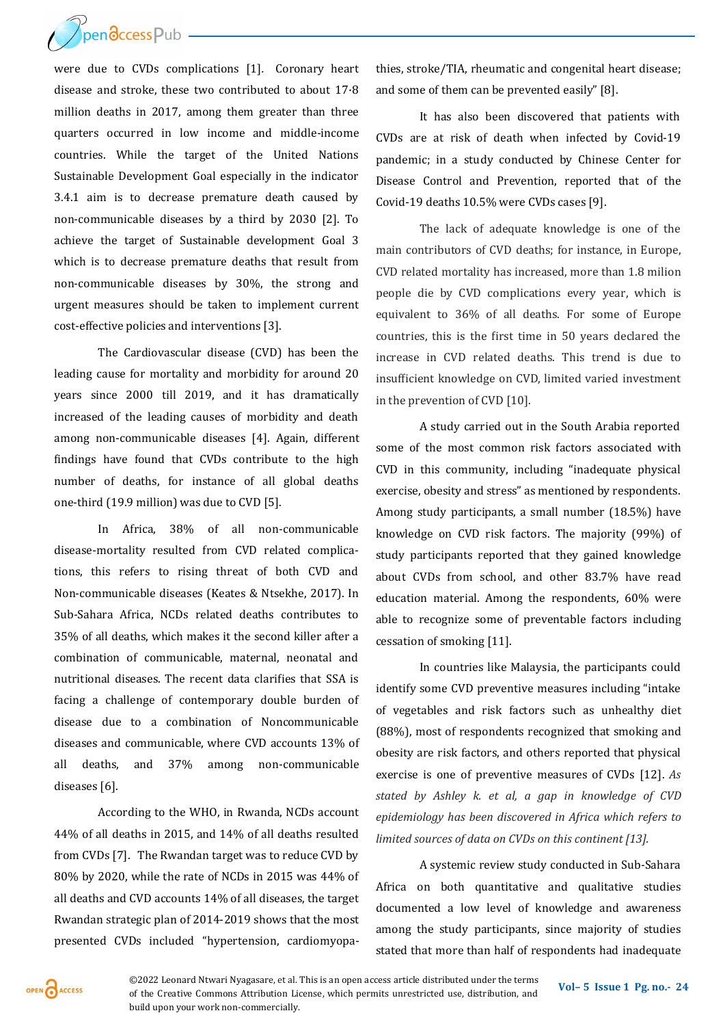

were due to CVDs complications [1]*.* Coronary heart disease and stroke, these two contributed to about 17·8 million deaths in 2017, among them greater than three quarters occurred in low income and middle-income countries. While the target of the United Nations Sustainable Development Goal especially in the indicator 3.4.1 aim is to decrease premature death caused by non-communicable diseases by a third by 2030 [2]. To achieve the target of Sustainable development Goal 3 which is to decrease premature deaths that result from non-communicable diseases by 30%, the strong and urgent measures should be taken to implement current cost-effective policies and interventions [3].

The Cardiovascular disease (CVD) has been the leading cause for mortality and morbidity for around 20 years since 2000 till 2019, and it has dramatically increased of the leading causes of morbidity and death among non-communicable diseases [4]. Again, different findings have found that CVDs contribute to the high number of deaths, for instance of all global deaths one-third (19.9 million) was due to CVD [5].

In Africa, 38% of all non-communicable disease-mortality resulted from CVD related complications, this refers to rising threat of both CVD and Non-communicable diseases (Keates & Ntsekhe, 2017). In Sub-Sahara Africa, NCDs related deaths contributes to 35% of all deaths, which makes it the second killer after a combination of communicable, maternal, neonatal and nutritional diseases. The recent data clarifies that SSA is facing a challenge of contemporary double burden of disease due to a combination of Noncommunicable diseases and communicable, where CVD accounts 13% of all deaths, and 37% among non-communicable diseases [6].

According to the WHO, in Rwanda, NCDs account 44% of all deaths in 2015, and 14% of all deaths resulted from CVDs [7]. The Rwandan target was to reduce CVD by 80% by 2020, while the rate of NCDs in 2015 was 44% of all deaths and CVD accounts 14% of all diseases, the target Rwandan strategic plan of 2014-2019 shows that the most presented CVDs included "hypertension, cardiomyopathies, stroke/TIA, rheumatic and congenital heart disease; and some of them can be prevented easily" [8].

It has also been discovered that patients with CVDs are at risk of death when infected by Covid-19 pandemic; in a study conducted by Chinese Center for Disease Control and Prevention, reported that of the Covid-19 deaths 10.5% were CVDs cases [9].

The lack of adequate knowledge is one of the main contributors of CVD deaths; for instance, in Europe, CVD related mortality has increased, more than 1.8 milion people die by CVD complications every year, which is equivalent to 36% of all deaths. For some of Europe countries, this is the first time in 50 years declared the increase in CVD related deaths. This trend is due to insufficient knowledge on CVD, limited varied investment in the prevention of CVD [10].

A study carried out in the South Arabia reported some of the most common risk factors associated with CVD in this community, including "inadequate physical exercise, obesity and stress" as mentioned by respondents. Among study participants, a small number (18.5%) have knowledge on CVD risk factors. The majority (99%) of study participants reported that they gained knowledge about CVDs from school, and other 83.7% have read education material. Among the respondents, 60% were able to recognize some of preventable factors including cessation of smoking [11].

In countries like Malaysia, the participants could identify some CVD preventive measures including "intake of vegetables and risk factors such as unhealthy diet (88%), most of respondents recognized that smoking and obesity are risk factors, and others reported that physical exercise is one of preventive measures of CVDs [12]. *As stated by Ashley k. et al, a gap in knowledge of CVD epidemiology has been discovered in Africa which refers to limited sources of data on CVDs on this continent [13].*

A systemic review study conducted in Sub-Sahara Africa on both quantitative and qualitative studies documented a low level of knowledge and awareness among the study participants, since majority of studies stated that more than half of respondents had inadequate

OPEN CACCESS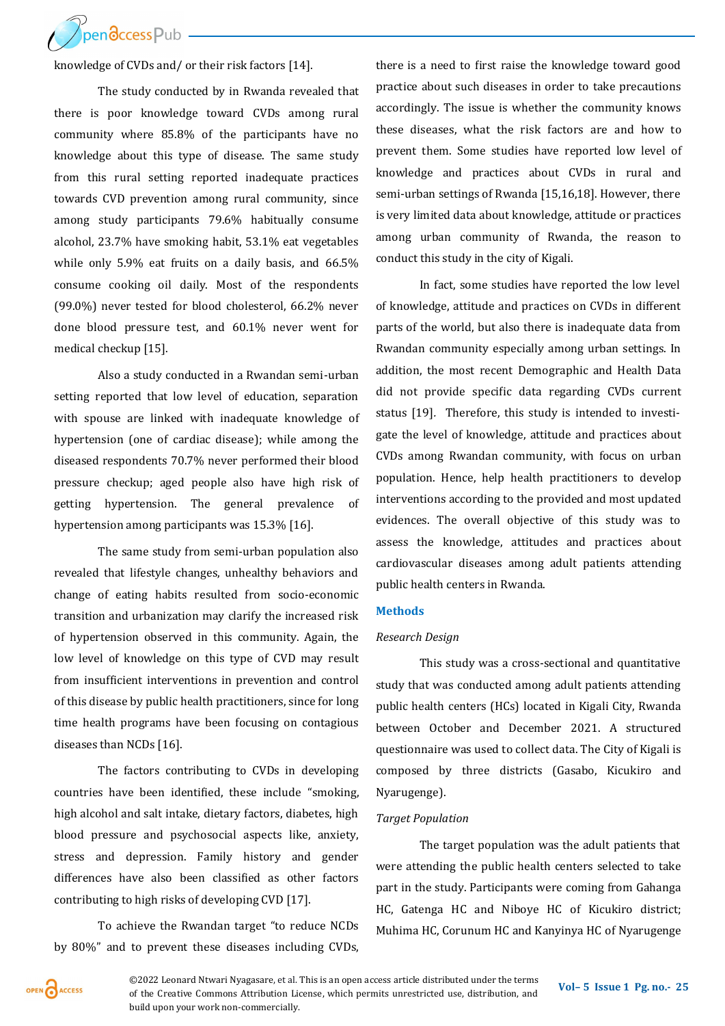

knowledge of CVDs and/ or their risk factors [14].

The study conducted by in Rwanda revealed that there is poor knowledge toward CVDs among rural community where 85.8% of the participants have no knowledge about this type of disease. The same study from this rural setting reported inadequate practices towards CVD prevention among rural community, since among study participants 79.6% habitually consume alcohol, 23.7% have smoking habit, 53.1% eat vegetables while only 5.9% eat fruits on a daily basis, and 66.5% consume cooking oil daily. Most of the respondents (99.0%) never tested for blood cholesterol, 66.2% never done blood pressure test, and 60.1% never went for medical checkup [15].

Also a study conducted in a Rwandan semi-urban setting reported that low level of education, separation with spouse are linked with inadequate knowledge of hypertension (one of cardiac disease); while among the diseased respondents 70.7% never performed their blood pressure checkup; aged people also have high risk of getting hypertension. The general prevalence of hypertension among participants was 15.3% [16].

The same study from semi-urban population also revealed that lifestyle changes, unhealthy behaviors and change of eating habits resulted from socio-economic transition and urbanization may clarify the increased risk of hypertension observed in this community. Again, the low level of knowledge on this type of CVD may result from insufficient interventions in prevention and control of this disease by public health practitioners, since for long time health programs have been focusing on contagious diseases than NCDs [16].

The factors contributing to CVDs in developing countries have been identified, these include "smoking, high alcohol and salt intake, dietary factors, diabetes, high blood pressure and psychosocial aspects like, anxiety, stress and depression. Family history and gender differences have also been classified as other factors contributing to high risks of developing CVD [17].

To achieve the Rwandan target "to reduce NCDs by 80%" and to prevent these diseases including CVDs,

there is a need to first raise the knowledge toward good practice about such diseases in order to take precautions accordingly. The issue is whether the community knows these diseases, what the risk factors are and how to prevent them. Some studies have reported low level of knowledge and practices about CVDs in rural and semi-urban settings of Rwanda [15,16,18]. However, there is very limited data about knowledge, attitude or practices among urban community of Rwanda, the reason to conduct this study in the city of Kigali.

In fact, some studies have reported the low level of knowledge, attitude and practices on CVDs in different parts of the world, but also there is inadequate data from Rwandan community especially among urban settings. In addition, the most recent Demographic and Health Data did not provide specific data regarding CVDs current status [19]*.* Therefore, this study is intended to investigate the level of knowledge, attitude and practices about CVDs among Rwandan community, with focus on urban population. Hence, help health practitioners to develop interventions according to the provided and most updated evidences. The overall objective of this study was to assess the knowledge, attitudes and practices about cardiovascular diseases among adult patients attending public health centers in Rwanda.

#### **Methods**

#### *Research Design*

This study was a cross-sectional and quantitative study that was conducted among adult patients attending public health centers (HCs) located in Kigali City, Rwanda between October and December 2021. A structured questionnaire was used to collect data. The City of Kigali is composed by three districts (Gasabo, Kicukiro and Nyarugenge).

#### *Target Population*

The target population was the adult patients that were attending the public health centers selected to take part in the study. Participants were coming from Gahanga HC, Gatenga HC and Niboye HC of Kicukiro district; Muhima HC, Corunum HC and Kanyinya HC of Nyarugenge

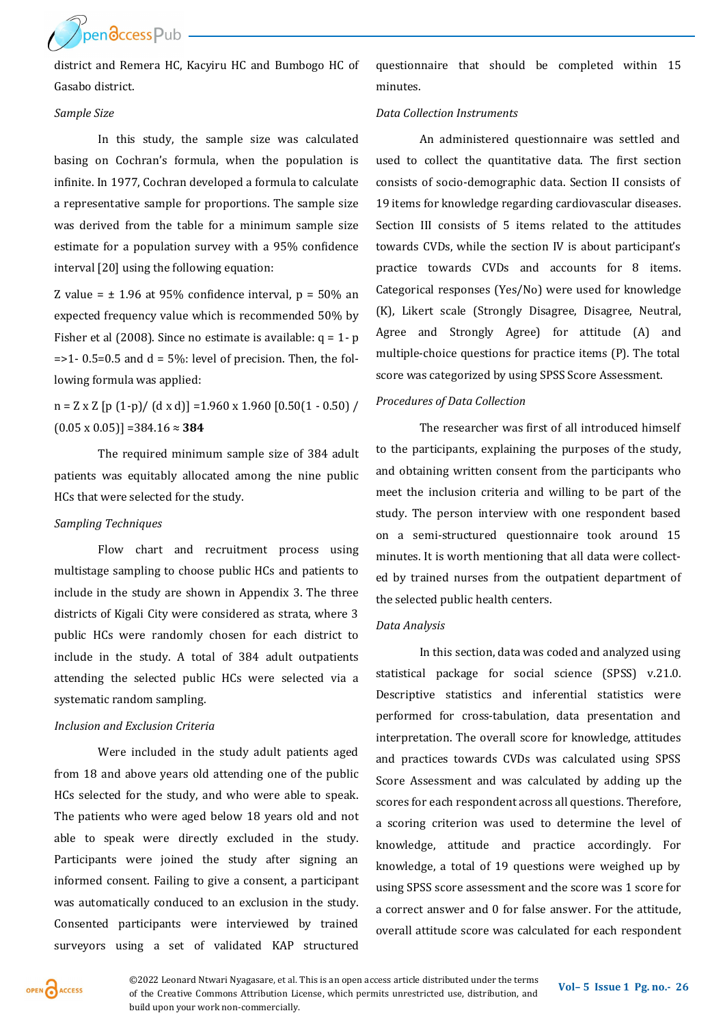Pendccess Pub

district and Remera HC, Kacyiru HC and Bumbogo HC of Gasabo district.

#### *Sample Size*

In this study, the sample size was calculated basing on Cochran's formula, when the population is infinite. In 1977, Cochran developed a formula to calculate a representative sample for proportions. The sample size was derived from the table for a minimum sample size estimate for a population survey with a 95% confidence interval [20] using the following equation:

Z value =  $\pm$  1.96 at 95% confidence interval, p = 50% an expected frequency value which is recommended 50% by Fisher et al (2008). Since no estimate is available:  $q = 1 - p$  $=$  >1- 0.5=0.5 and d = 5%: level of precision. Then, the following formula was applied:

 $n = Z \times Z$  [p (1-p)/ (d x d)] = 1.960 x 1.960 [0.50(1 - 0.50) / (0.05 x 0.05)] =384.16 ≈ **384**

The required minimum sample size of 384 adult patients was equitably allocated among the nine public HCs that were selected for the study.

#### *Sampling Techniques*

Flow chart and recruitment process using multistage sampling to choose public HCs and patients to include in the study are shown in Appendix 3. The three districts of Kigali City were considered as strata, where 3 public HCs were randomly chosen for each district to include in the study. A total of 384 adult outpatients attending the selected public HCs were selected via a systematic random sampling.

#### *Inclusion and Exclusion Criteria*

Were included in the study adult patients aged from 18 and above years old attending one of the public HCs selected for the study, and who were able to speak. The patients who were aged below 18 years old and not able to speak were directly excluded in the study. Participants were joined the study after signing an informed consent. Failing to give a consent, a participant was automatically conduced to an exclusion in the study. Consented participants were interviewed by trained surveyors using a set of validated KAP structured

questionnaire that should be completed within 15 minutes.

#### *Data Collection Instruments*

An administered questionnaire was settled and used to collect the quantitative data. The first section consists of socio-demographic data. Section II consists of 19 items for knowledge regarding cardiovascular diseases. Section III consists of 5 items related to the attitudes towards CVDs, while the section IV is about participant's practice towards CVDs and accounts for 8 items. Categorical responses (Yes/No) were used for knowledge (K), Likert scale (Strongly Disagree, Disagree, Neutral, Agree and Strongly Agree) for attitude (A) and multiple-choice questions for practice items (P). The total score was categorized by using SPSS Score Assessment.

#### *Procedures of Data Collection*

The researcher was first of all introduced himself to the participants, explaining the purposes of the study, and obtaining written consent from the participants who meet the inclusion criteria and willing to be part of the study. The person interview with one respondent based on a semi-structured questionnaire took around 15 minutes. It is worth mentioning that all data were collected by trained nurses from the outpatient department of the selected public health centers.

#### *Data Analysis*

In this section, data was coded and analyzed using statistical package for social science (SPSS) v.21.0. Descriptive statistics and inferential statistics were performed for cross-tabulation, data presentation and interpretation. The overall score for knowledge, attitudes and practices towards CVDs was calculated using SPSS Score Assessment and was calculated by adding up the scores for each respondent across all questions. Therefore, a scoring criterion was used to determine the level of knowledge, attitude and practice accordingly. For knowledge, a total of 19 questions were weighed up by using SPSS score assessment and the score was 1 score for a correct answer and 0 for false answer. For the attitude, overall attitude score was calculated for each respondent

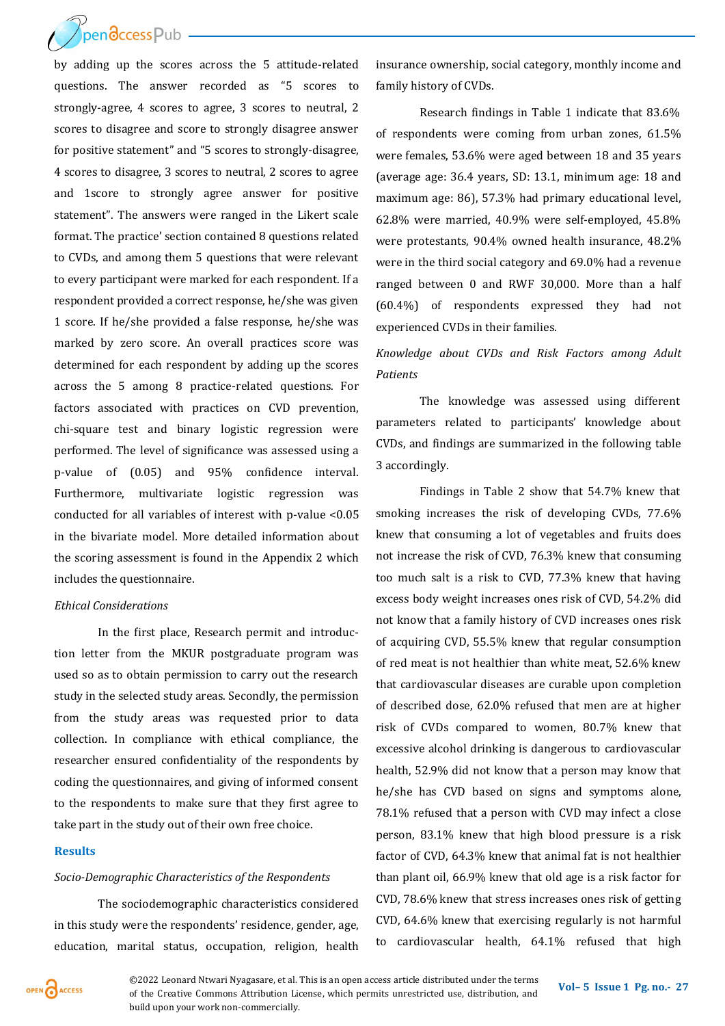$\gamma$ pendccessPub

by adding up the scores across the 5 attitude-related questions. The answer recorded as "5 scores to strongly-agree, 4 scores to agree, 3 scores to neutral, 2 scores to disagree and score to strongly disagree answer for positive statement" and "5 scores to strongly-disagree, 4 scores to disagree, 3 scores to neutral, 2 scores to agree and 1score to strongly agree answer for positive statement". The answers were ranged in the Likert scale format. The practice' section contained 8 questions related to CVDs, and among them 5 questions that were relevant to every participant were marked for each respondent. If a respondent provided a correct response, he/she was given 1 score. If he/she provided a false response, he/she was marked by zero score. An overall practices score was determined for each respondent by adding up the scores across the 5 among 8 practice-related questions. For factors associated with practices on CVD prevention, chi-square test and binary logistic regression were performed. The level of significance was assessed using a p-value of (0.05) and 95% confidence interval. Furthermore, multivariate logistic regression was conducted for all variables of interest with p-value <0.05 in the bivariate model. More detailed information about the scoring assessment is found in the Appendix 2 which includes the questionnaire.

#### *Ethical Considerations*

In the first place, Research permit and introduction letter from the MKUR postgraduate program was used so as to obtain permission to carry out the research study in the selected study areas. Secondly, the permission from the study areas was requested prior to data collection. In compliance with ethical compliance, the researcher ensured confidentiality of the respondents by coding the questionnaires, and giving of informed consent to the respondents to make sure that they first agree to take part in the study out of their own free choice.

#### **Results**

#### *Socio-Demographic Characteristics of the Respondents*

The sociodemographic characteristics considered in this study were the respondents' residence, gender, age, education, marital status, occupation, religion, health insurance ownership, social category, monthly income and family history of CVDs.

Research findings in Table 1 indicate that 83.6% of respondents were coming from urban zones, 61.5% were females, 53.6% were aged between 18 and 35 years (average age: 36.4 years, SD: 13.1, minimum age: 18 and maximum age: 86), 57.3% had primary educational level, 62.8% were married, 40.9% were self-employed, 45.8% were protestants, 90.4% owned health insurance, 48.2% were in the third social category and 69.0% had a revenue ranged between 0 and RWF 30,000. More than a half (60.4%) of respondents expressed they had not experienced CVDs in their families.

## *Knowledge about CVDs and Risk Factors among Adult Patients*

The knowledge was assessed using different parameters related to participants' knowledge about CVDs, and findings are summarized in the following table 3 accordingly.

Findings in Table 2 show that 54.7% knew that smoking increases the risk of developing CVDs, 77.6% knew that consuming a lot of vegetables and fruits does not increase the risk of CVD, 76.3% knew that consuming too much salt is a risk to CVD, 77.3% knew that having excess body weight increases ones risk of CVD, 54.2% did not know that a family history of CVD increases ones risk of acquiring CVD, 55.5% knew that regular consumption of red meat is not healthier than white meat, 52.6% knew that cardiovascular diseases are curable upon completion of described dose, 62.0% refused that men are at higher risk of CVDs compared to women, 80.7% knew that excessive alcohol drinking is dangerous to cardiovascular health, 52.9% did not know that a person may know that he/she has CVD based on signs and symptoms alone, 78.1% refused that a person with CVD may infect a close person, 83.1% knew that high blood pressure is a risk factor of CVD, 64.3% knew that animal fat is not healthier than plant oil, 66.9% knew that old age is a risk factor for CVD, 78.6% knew that stress increases ones risk of getting CVD, 64.6% knew that exercising regularly is not harmful to cardiovascular health, 64.1% refused that high



**©2022 Leonard Ntwari Nyagasare, et al. This is an open access article distributed under the terms <b>Vol–5** Issue 1 Pg. no.- 27 of the Creative Commons Attribution License, which permits unrestricted use, distribution, and build upon your work non-commercially.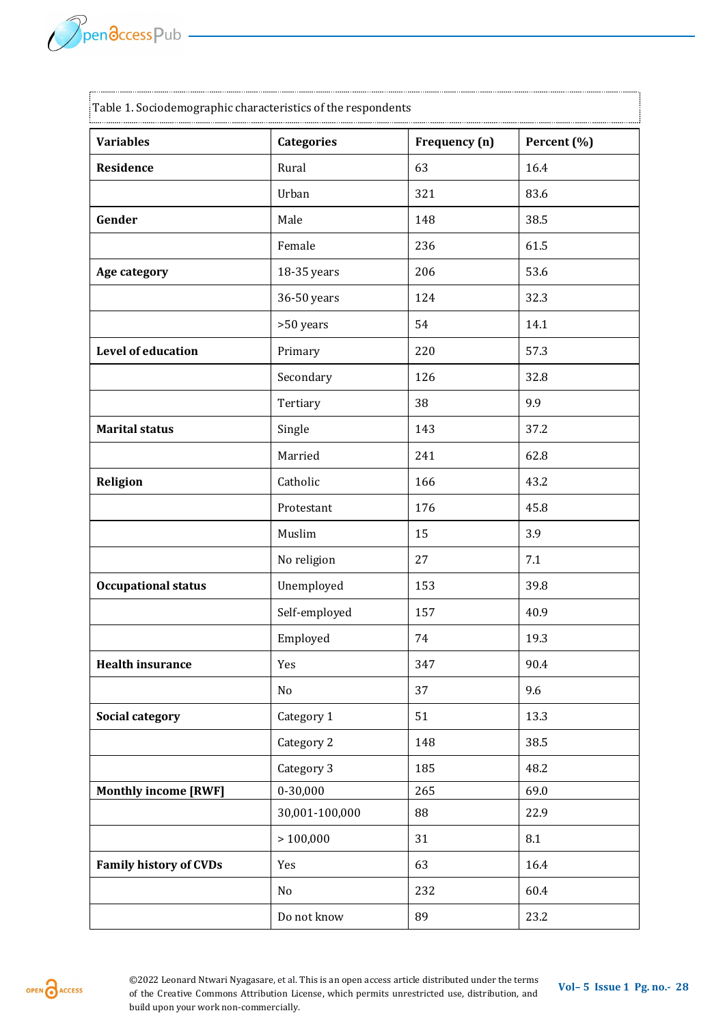| Table 1. Sociodemographic characteristics of the respondents |                   |               |             |  |
|--------------------------------------------------------------|-------------------|---------------|-------------|--|
| <b>Variables</b>                                             | <b>Categories</b> | Frequency (n) | Percent (%) |  |
| Residence                                                    | Rural             | 63            | 16.4        |  |
|                                                              | Urban             | 321           | 83.6        |  |
| Gender                                                       | Male              | 148           | 38.5        |  |
|                                                              | Female            | 236           | 61.5        |  |
| Age category                                                 | 18-35 years       | 206           | 53.6        |  |
|                                                              | 36-50 years       | 124           | 32.3        |  |
|                                                              | >50 years         | 54            | 14.1        |  |
| <b>Level of education</b>                                    | Primary           | 220           | 57.3        |  |
|                                                              | Secondary         | 126           | 32.8        |  |
|                                                              | Tertiary          | 38            | 9.9         |  |
| <b>Marital status</b>                                        | Single            | 143           | 37.2        |  |
|                                                              | Married           | 241           | 62.8        |  |
| <b>Religion</b>                                              | Catholic          | 166           | 43.2        |  |
|                                                              | Protestant        | 176           | 45.8        |  |
|                                                              | Muslim            | 15            | 3.9         |  |
|                                                              | No religion       | 27            | 7.1         |  |
| <b>Occupational status</b>                                   | Unemployed        | 153           | 39.8        |  |
|                                                              | Self-employed     | 157           | 40.9        |  |
|                                                              | Employed          | 74            | 19.3        |  |
| <b>Health insurance</b>                                      | Yes               | 347           | 90.4        |  |
|                                                              | No                | 37            | 9.6         |  |
| <b>Social category</b>                                       | Category 1        | 51            | 13.3        |  |
|                                                              | Category 2        | 148           | 38.5        |  |
|                                                              | Category 3        | 185           | 48.2        |  |
| <b>Monthly income [RWF]</b>                                  | $0 - 30,000$      | 265           | 69.0        |  |
|                                                              | 30,001-100,000    | 88            | 22.9        |  |
|                                                              | >100,000          | 31            | $\ \, 8.1$  |  |
| <b>Family history of CVDs</b>                                | Yes               | 63            | 16.4        |  |
|                                                              | No                | 232           | 60.4        |  |
|                                                              | Do not know       | 89            | 23.2        |  |

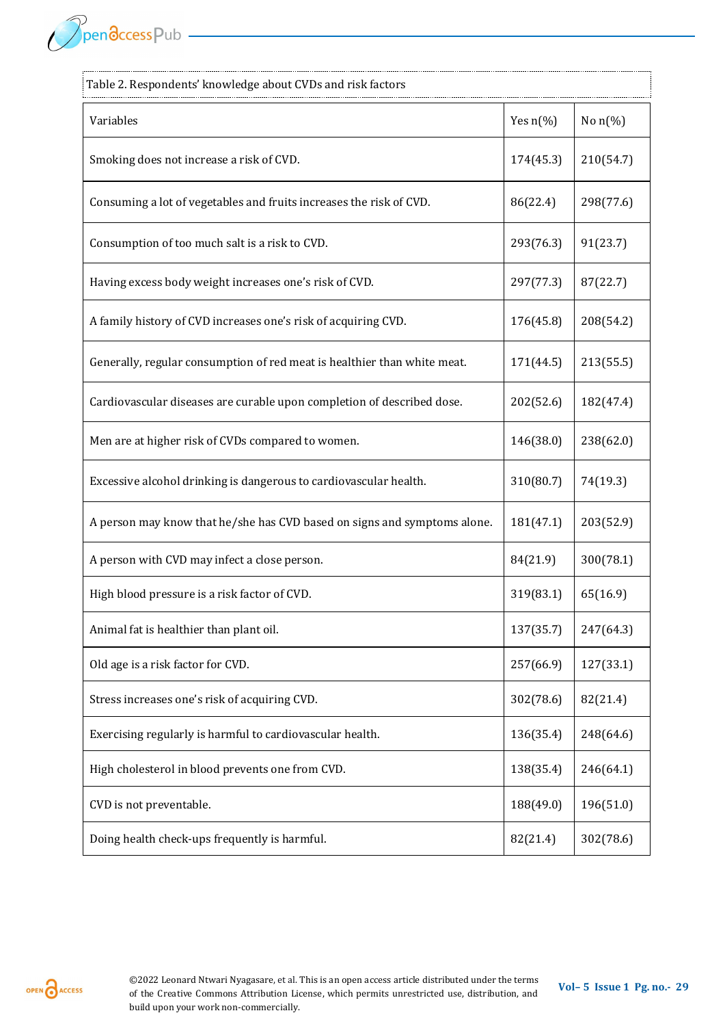PpendccessPub —

| Table 2. Respondents' knowledge about CVDs and risk factors              |                    |            |
|--------------------------------------------------------------------------|--------------------|------------|
| Variables                                                                | Yes $n\frac{6}{6}$ | No $n$ (%) |
| Smoking does not increase a risk of CVD.                                 | 174(45.3)          | 210(54.7)  |
| Consuming a lot of vegetables and fruits increases the risk of CVD.      | 86(22.4)           | 298(77.6)  |
| Consumption of too much salt is a risk to CVD.                           | 293(76.3)          | 91(23.7)   |
| Having excess body weight increases one's risk of CVD.                   | 297(77.3)          | 87(22.7)   |
| A family history of CVD increases one's risk of acquiring CVD.           | 176(45.8)          | 208(54.2)  |
| Generally, regular consumption of red meat is healthier than white meat. | 171(44.5)          | 213(55.5)  |
| Cardiovascular diseases are curable upon completion of described dose.   | 202(52.6)          | 182(47.4)  |
| Men are at higher risk of CVDs compared to women.                        | 146(38.0)          | 238(62.0)  |
| Excessive alcohol drinking is dangerous to cardiovascular health.        | 310(80.7)          | 74(19.3)   |
| A person may know that he/she has CVD based on signs and symptoms alone. | 181(47.1)          | 203(52.9)  |
| A person with CVD may infect a close person.                             | 84(21.9)           | 300(78.1)  |
| High blood pressure is a risk factor of CVD.                             | 319(83.1)          | 65(16.9)   |
| Animal fat is healthier than plant oil.                                  | 137(35.7)          | 247(64.3)  |
| Old age is a risk factor for CVD.                                        | 257(66.9)          | 127(33.1)  |
| Stress increases one's risk of acquiring CVD.                            | 302(78.6)          | 82(21.4)   |
| Exercising regularly is harmful to cardiovascular health.                | 136(35.4)          | 248(64.6)  |
| High cholesterol in blood prevents one from CVD.                         | 138(35.4)          | 246(64.1)  |
| CVD is not preventable.                                                  | 188(49.0)          | 196(51.0)  |
| Doing health check-ups frequently is harmful.                            | 82(21.4)           | 302(78.6)  |

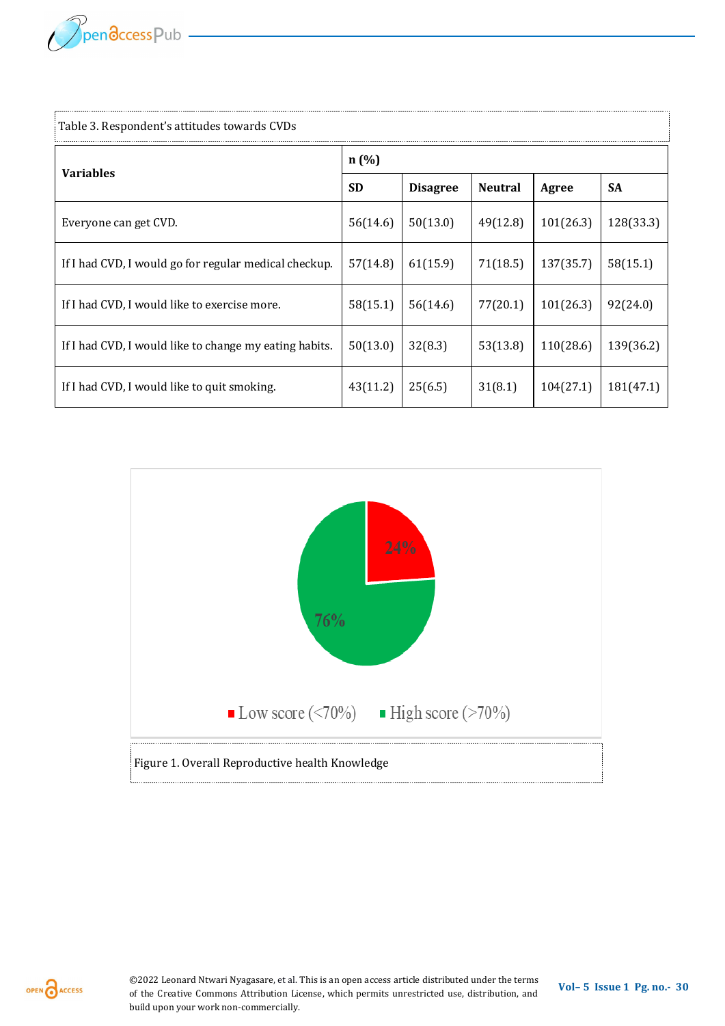

| Table 3. Respondent's attitudes towards CVDs           |           |                 |                |           |           |  |
|--------------------------------------------------------|-----------|-----------------|----------------|-----------|-----------|--|
| <b>Variables</b>                                       | n(%)      |                 |                |           |           |  |
|                                                        | <b>SD</b> | <b>Disagree</b> | <b>Neutral</b> | Agree     | <b>SA</b> |  |
| Everyone can get CVD.                                  | 56(14.6)  | 50(13.0)        | 49(12.8)       | 101(26.3) | 128(33.3) |  |
| If I had CVD, I would go for regular medical checkup.  | 57(14.8)  | 61(15.9)        | 71(18.5)       | 137(35.7) | 58(15.1)  |  |
| If I had CVD, I would like to exercise more.           | 58(15.1)  | 56(14.6)        | 77(20.1)       | 101(26.3) | 92(24.0)  |  |
| If I had CVD, I would like to change my eating habits. | 50(13.0)  | 32(8.3)         | 53(13.8)       | 110(28.6) | 139(36.2) |  |
| If I had CVD, I would like to quit smoking.            | 43(11.2)  | 25(6.5)         | 31(8.1)        | 104(27.1) | 181(47.1) |  |



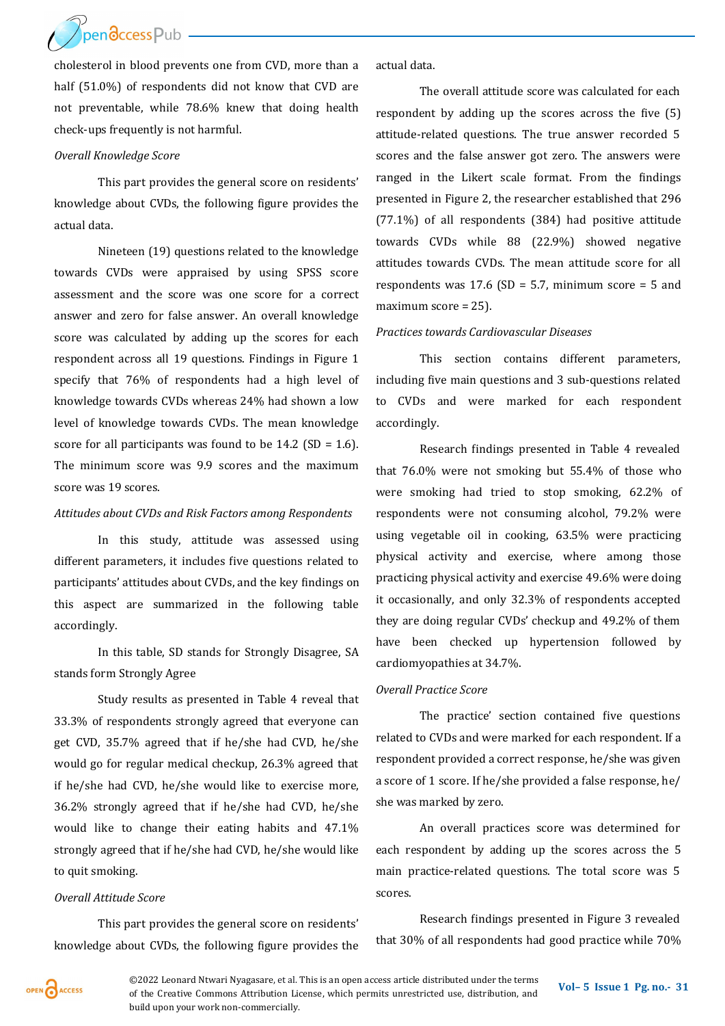Ppendccess Pub

cholesterol in blood prevents one from CVD, more than a half (51.0%) of respondents did not know that CVD are not preventable, while 78.6% knew that doing health check-ups frequently is not harmful.

#### *Overall Knowledge Score*

This part provides the general score on residents' knowledge about CVDs, the following figure provides the actual data.

Nineteen (19) questions related to the knowledge towards CVDs were appraised by using SPSS score assessment and the score was one score for a correct answer and zero for false answer. An overall knowledge score was calculated by adding up the scores for each respondent across all 19 questions. Findings in Figure 1 specify that 76% of respondents had a high level of knowledge towards CVDs whereas 24% had shown a low level of knowledge towards CVDs. The mean knowledge score for all participants was found to be 14.2 (SD = 1.6). The minimum score was 9.9 scores and the maximum score was 19 scores.

## *Attitudes about CVDs and Risk Factors among Respondents*

In this study, attitude was assessed using different parameters, it includes five questions related to participants' attitudes about CVDs, and the key findings on this aspect are summarized in the following table accordingly.

In this table, SD stands for Strongly Disagree, SA stands form Strongly Agree

Study results as presented in Table 4 reveal that 33.3% of respondents strongly agreed that everyone can get CVD, 35.7% agreed that if he/she had CVD, he/she would go for regular medical checkup, 26.3% agreed that if he/she had CVD, he/she would like to exercise more, 36.2% strongly agreed that if he/she had CVD, he/she would like to change their eating habits and 47.1% strongly agreed that if he/she had CVD, he/she would like to quit smoking.

#### *Overall Attitude Score*

This part provides the general score on residents' knowledge about CVDs, the following figure provides the actual data.

The overall attitude score was calculated for each respondent by adding up the scores across the five (5) attitude-related questions. The true answer recorded 5 scores and the false answer got zero. The answers were ranged in the Likert scale format. From the findings presented in Figure 2, the researcher established that 296 (77.1%) of all respondents (384) had positive attitude towards CVDs while 88 (22.9%) showed negative attitudes towards CVDs. The mean attitude score for all respondents was  $17.6$  (SD = 5.7, minimum score = 5 and maximum score = 25).

#### *Practices towards Cardiovascular Diseases*

This section contains different parameters, including five main questions and 3 sub-questions related to CVDs and were marked for each respondent accordingly.

Research findings presented in Table 4 revealed that 76.0% were not smoking but 55.4% of those who were smoking had tried to stop smoking, 62.2% of respondents were not consuming alcohol, 79.2% were using vegetable oil in cooking, 63.5% were practicing physical activity and exercise, where among those practicing physical activity and exercise 49.6% were doing it occasionally, and only 32.3% of respondents accepted they are doing regular CVDs' checkup and 49.2% of them have been checked up hypertension followed by cardiomyopathies at 34.7%.

#### *Overall Practice Score*

The practice' section contained five questions related to CVDs and were marked for each respondent. If a respondent provided a correct response, he/she was given a score of 1 score. If he/she provided a false response, he/ she was marked by zero.

An overall practices score was determined for each respondent by adding up the scores across the 5 main practice-related questions. The total score was 5 scores.

Research findings presented in Figure 3 revealed that 30% of all respondents had good practice while 70%



**©2022 Leonard Ntwari Nyagasare, et al. This is an open access article distributed under the terms <b>Vol–** 5 **Issue 1 Pg. no. -** 31 of the Creative Commons Attribution License, which permits unrestricted use, distribution, and build upon your work non-commercially.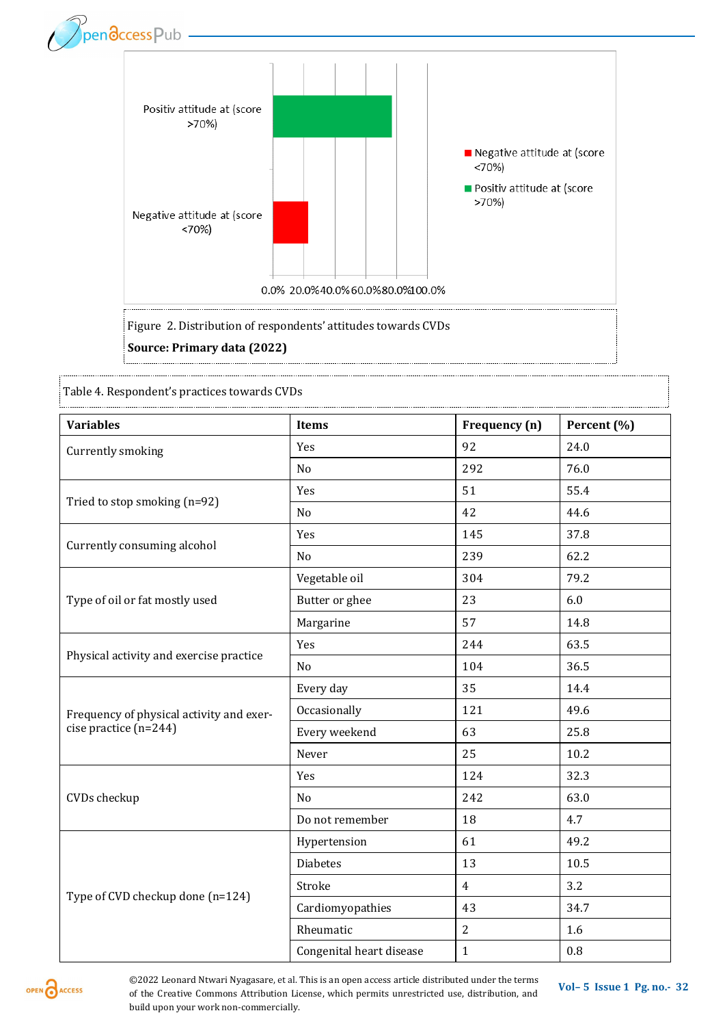

Table 4. Respondent's practices towards CVDs

| <b>Variables</b>                         | Items                    | Frequency (n)  | Percent (%) |
|------------------------------------------|--------------------------|----------------|-------------|
| Currently smoking                        | Yes                      | 92             | 24.0        |
|                                          | N <sub>o</sub>           | 292            | 76.0        |
| Tried to stop smoking (n=92)             | Yes                      | 51             | 55.4        |
|                                          | No                       | 42             | 44.6        |
| Currently consuming alcohol              | Yes                      | 145            | 37.8        |
|                                          | No                       | 239            | 62.2        |
|                                          | Vegetable oil            | 304            | 79.2        |
| Type of oil or fat mostly used           | Butter or ghee           | 23             | 6.0         |
|                                          | Margarine                | 57             | 14.8        |
| Physical activity and exercise practice  | Yes                      | 244            | 63.5        |
|                                          | No                       | 104            | 36.5        |
|                                          | Every day                | 35             | 14.4        |
| Frequency of physical activity and exer- | Occasionally             | 121            | 49.6        |
| cise practice $(n=244)$                  | Every weekend            | 63             | 25.8        |
|                                          | Never                    | 25             | 10.2        |
| CVDs checkup                             | Yes                      | 124            | 32.3        |
|                                          | N <sub>o</sub>           | 242            | 63.0        |
|                                          | Do not remember          | 18             | 4.7         |
| Type of CVD checkup done (n=124)         | Hypertension             | 61             | 49.2        |
|                                          | <b>Diabetes</b>          | 13             | 10.5        |
|                                          | Stroke                   | $\overline{4}$ | 3.2         |
|                                          | Cardiomyopathies         | 43             | 34.7        |
|                                          | Rheumatic                | $\overline{2}$ | 1.6         |
|                                          | Congenital heart disease | $\mathbf{1}$   | 0.8         |

OPEN CACCESS

**©2022 Leonard Ntwari Nyagasare, et al. This is an open access article distributed under the terms <b>Vol–** 5 **Issue 1 Pg. no. -** 32 of the Creative Commons Attribution License, which permits unrestricted use, distribution, and build upon your work non-commercially.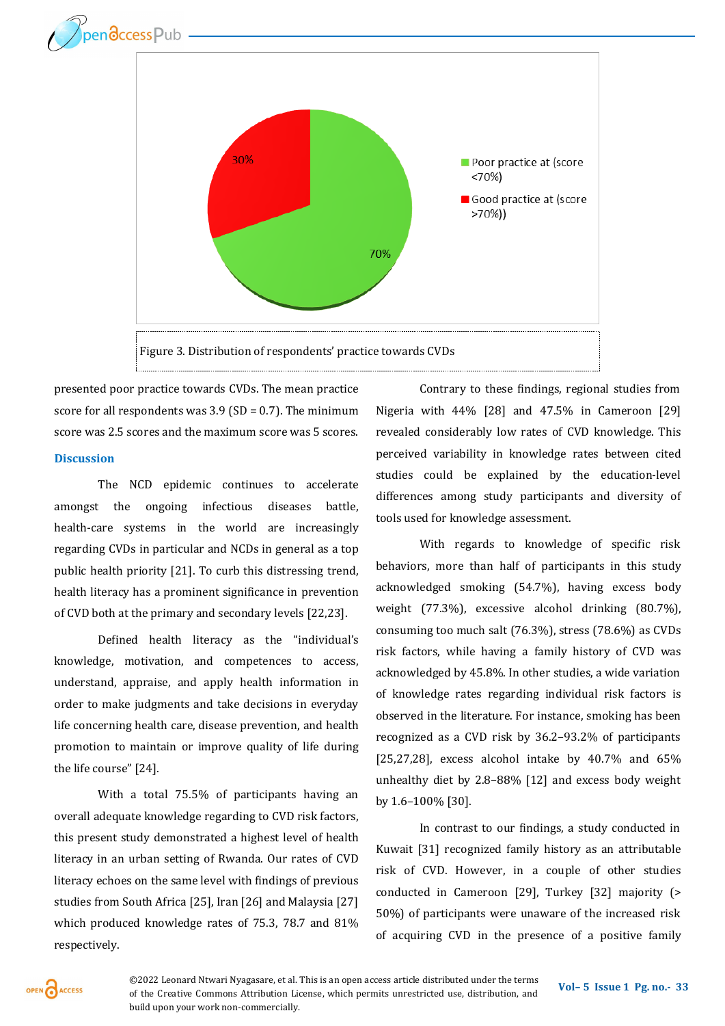



presented poor practice towards CVDs. The mean practice score for all respondents was  $3.9$  (SD = 0.7). The minimum score was 2.5 scores and the maximum score was 5 scores. **Discussion** 

The NCD epidemic continues to accelerate amongst the ongoing infectious diseases battle, health-care systems in the world are increasingly regarding CVDs in particular and NCDs in general as a top public health priority [21]. To curb this distressing trend, health literacy has a prominent significance in prevention of CVD both at the primary and secondary levels [22,23].

Defined health literacy as the "individual's knowledge, motivation, and competences to access, understand, appraise, and apply health information in order to make judgments and take decisions in everyday life concerning health care, disease prevention, and health promotion to maintain or improve quality of life during the life course" [24].

With a total 75.5% of participants having an overall adequate knowledge regarding to CVD risk factors, this present study demonstrated a highest level of health literacy in an urban setting of Rwanda. Our rates of CVD literacy echoes on the same level with findings of previous studies from South Africa [25], Iran [26] and Malaysia [27] which produced knowledge rates of 75.3, 78.7 and 81% respectively.

Contrary to these findings, regional studies from Nigeria with 44% [28] and 47.5% in Cameroon [29] revealed considerably low rates of CVD knowledge. This perceived variability in knowledge rates between cited studies could be explained by the education-level differences among study participants and diversity of tools used for knowledge assessment.

With regards to knowledge of specific risk behaviors, more than half of participants in this study acknowledged smoking (54.7%), having excess body weight (77.3%), excessive alcohol drinking (80.7%), consuming too much salt (76.3%), stress (78.6%) as CVDs risk factors, while having a family history of CVD was acknowledged by 45.8%. In other studies, a wide variation of knowledge rates regarding individual risk factors is observed in the literature. For instance, smoking has been recognized as a CVD risk by 36.2–93.2% of participants [25,27,28], excess alcohol intake by  $40.7\%$  and  $65\%$ unhealthy diet by 2.8–88% [12] and excess body weight by 1.6–100% [30].

In contrast to our findings, a study conducted in Kuwait [31] recognized family history as an attributable risk of CVD. However, in a couple of other studies conducted in Cameroon [29], Turkey [32] majority (> 50%) of participants were unaware of the increased risk of acquiring CVD in the presence of a positive family

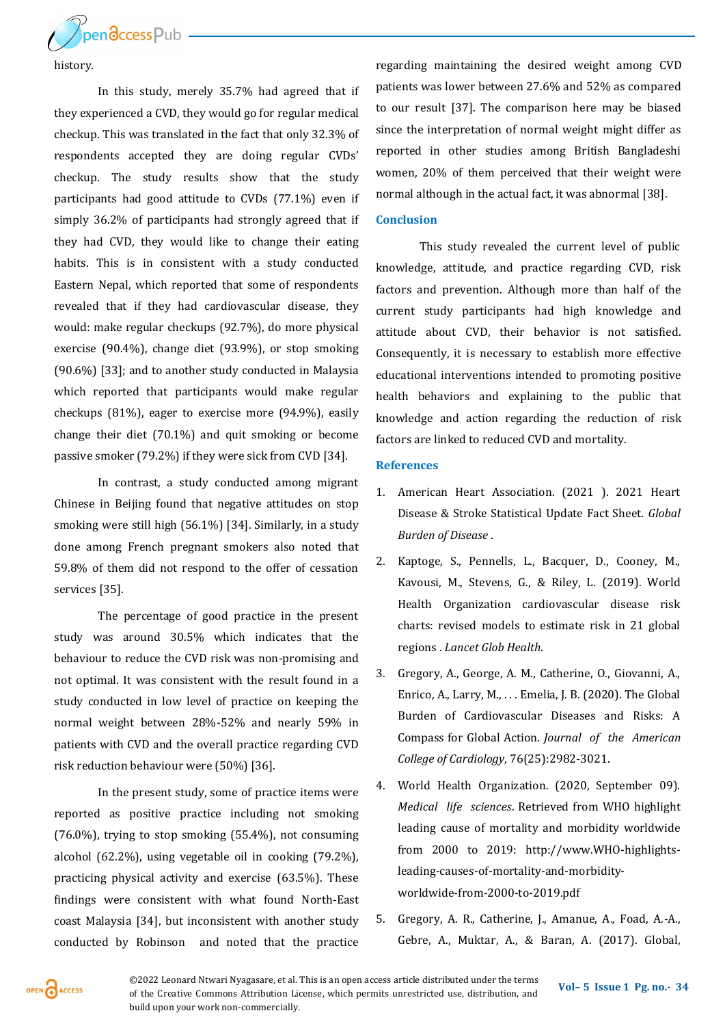

history.

In this study, merely 35.7% had agreed that if they experienced a CVD, they would go for regular medical checkup. This was translated in the fact that only 32.3% of respondents accepted they are doing regular CVDs' checkup. The study results show that the study participants had good attitude to CVDs (77.1%) even if simply 36.2% of participants had strongly agreed that if they had CVD, they would like to change their eating habits. This is in consistent with a study conducted Eastern Nepal, which reported that some of respondents revealed that if they had cardiovascular disease, they would: make regular checkups (92.7%), do more physical exercise (90.4%), change diet (93.9%), or stop smoking (90.6%) [33]; and to another study conducted in Malaysia which reported that participants would make regular checkups (81%), eager to exercise more (94.9%), easily change their diet (70.1%) and quit smoking or become passive smoker (79.2%) if they were sick from CVD [34].

In contrast, a study conducted among migrant Chinese in Beijing found that negative attitudes on stop smoking were still high (56.1%) [34]. Similarly, in a study done among French pregnant smokers also noted that 59.8% of them did not respond to the offer of cessation services [35].

The percentage of good practice in the present study was around 30.5% which indicates that the behaviour to reduce the CVD risk was non-promising and not optimal. It was consistent with the result found in a study conducted in low level of practice on keeping the normal weight between 28%-52% and nearly 59% in patients with CVD and the overall practice regarding CVD risk reduction behaviour were (50%) [36].

In the present study, some of practice items were reported as positive practice including not smoking (76.0%), trying to stop smoking (55.4%), not consuming alcohol (62.2%), using vegetable oil in cooking (79.2%), practicing physical activity and exercise (63.5%). These findings were consistent with what found North-East coast Malaysia [34], but inconsistent with another study conducted by Robinson and noted that the practice

regarding maintaining the desired weight among CVD patients was lower between 27.6% and 52% as compared to our result [37]. The comparison here may be biased since the interpretation of normal weight might differ as reported in other studies among British Bangladeshi women, 20% of them perceived that their weight were normal although in the actual fact, it was abnormal [38].

## **Conclusion**

This study revealed the current level of public knowledge, attitude, and practice regarding CVD, risk factors and prevention. Although more than half of the current study participants had high knowledge and attitude about CVD, their behavior is not satisfied. Consequently, it is necessary to establish more effective educational interventions intended to promoting positive health behaviors and explaining to the public that knowledge and action regarding the reduction of risk factors are linked to reduced CVD and mortality.

#### **References**

- 1. American Heart Association. (2021 ). 2021 Heart Disease & Stroke Statistical Update Fact Sheet. *Global Burden of Disease* .
- 2. Kaptoge, S., Pennells, L., Bacquer, D., Cooney, M., Kavousi, M., Stevens, G., & Riley, L. (2019). World Health Organization cardiovascular disease risk charts: revised models to estimate risk in 21 global regions . *Lancet Glob Health*.
- 3. Gregory, A., George, A. M., Catherine, O., Giovanni, A., Enrico, A., Larry, M., . . . Emelia, J. B. (2020). The Global Burden of Cardiovascular Diseases and Risks: A Compass for Global Action. *Journal of the American College of Cardiology*, 76(25):2982-3021.
- 4. World Health Organization. (2020, September 09). *Medical life sciences*. Retrieved from WHO highlight leading cause of mortality and morbidity worldwide from 2000 to 2019: http://www.WHO-highlightsleading-causes-of-mortality-and-morbidityworldwide-from-2000-to-2019.pdf
- 5. Gregory, A. R., Catherine, J., Amanue, A., Foad, A.-A., Gebre, A., Muktar, A., & Baran, A. (2017). Global,

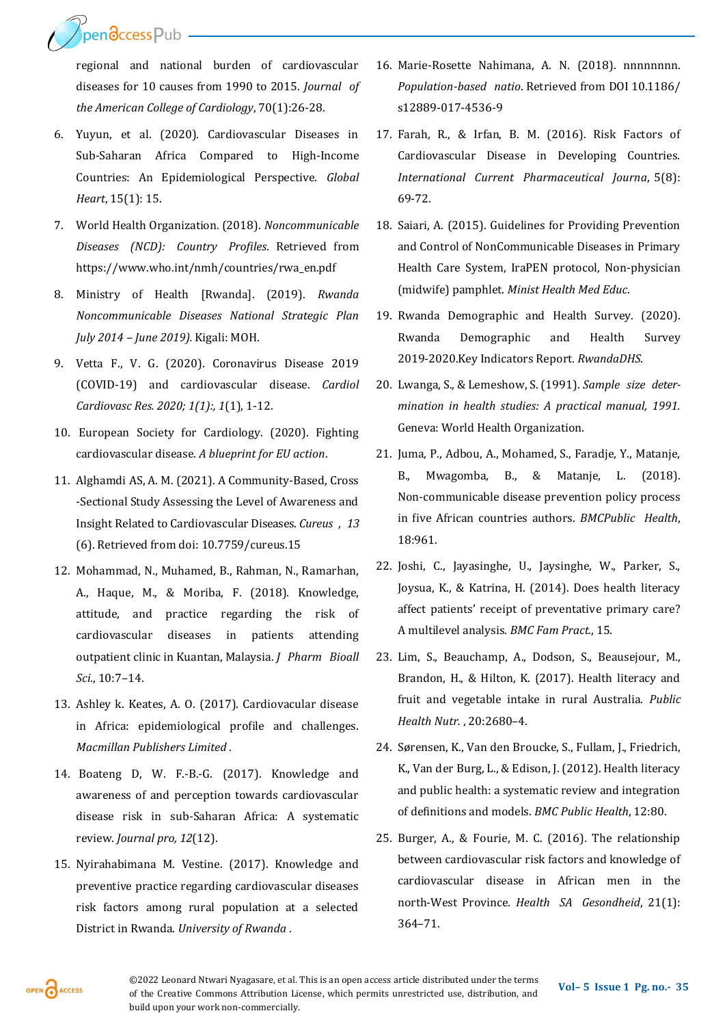Dendccess Pub

regional and national burden of cardiovascular diseases for 10 causes from 1990 to 2015. *Journal of the American College of Cardiology*, 70(1):26-28.

- 6. Yuyun, et al. (2020). Cardiovascular Diseases in Sub-Saharan Africa Compared to High-Income Countries: An Epidemiological Perspective. *Global Heart*, 15(1): 15.
- 7. World Health Organization. (2018). *Noncommunicable Diseases (NCD): Country Profiles*. Retrieved from https://www.who.int/nmh/countries/rwa\_en.pdf
- 8. Ministry of Health [Rwanda]. (2019). *Rwanda Noncommunicable Diseases National Strategic Plan July 2014 – June 2019).* Kigali: MOH.
- 9. Vetta F., V. G. (2020). Coronavirus Disease 2019 (COVID-19) and cardiovascular disease. *Cardiol Cardiovasc Res. 2020; 1(1):, 1*(1), 1-12.
- 10. European Society for Cardiology. (2020). Fighting cardiovascular disease. *A blueprint for EU action*.
- 11. Alghamdi AS, A. M. (2021). A Community-Based, Cross -Sectional Study Assessing the Level of Awareness and Insight Related to Cardiovascular Diseases. *Cureus , 13* (6). Retrieved from doi: 10.7759/cureus.15
- 12. Mohammad, N., Muhamed, B., Rahman, N., Ramarhan, A., Haque, M., & Moriba, F. (2018). Knowledge, attitude, and practice regarding the risk of cardiovascular diseases in patients attending outpatient clinic in Kuantan, Malaysia. *J Pharm Bioall Sci.*, 10:7–14.
- 13. Ashley k. Keates, A. O. (2017). Cardiovacular disease in Africa: epidemiological profile and challenges. *Macmillan Publishers Limited* .
- 14. Boateng D, W. F.-B.-G. (2017). Knowledge and awareness of and perception towards cardiovascular disease risk in sub-Saharan Africa: A systematic review. *Journal pro, 12*(12).
- 15. Nyirahabimana M. Vestine. (2017). Knowledge and preventive practice regarding cardiovascular diseases risk factors among rural population at a selected District in Rwanda. *University of Rwanda* .
- 16. Marie-Rosette Nahimana, A. N. (2018). nnnnnnnn. *Population-based natio*. Retrieved from DOI 10.1186/ s12889-017-4536-9
- 17. Farah, R., & Irfan, B. M. (2016). Risk Factors of Cardiovascular Disease in Developing Countries. *International Current Pharmaceutical Journa*, 5(8): 69-72.
- 18. Saiari, A. (2015). Guidelines for Providing Prevention and Control of NonCommunicable Diseases in Primary Health Care System, IraPEN protocol, Non-physician (midwife) pamphlet. *Minist Health Med Educ*.
- 19. Rwanda Demographic and Health Survey. (2020). Rwanda Demographic and Health Survey 2019-2020.Key Indicators Report. *RwandaDHS*.
- 20. Lwanga, S., & Lemeshow, S. (1991). *Sample size determination in health studies: A practical manual, 1991.* Geneva: World Health Organization.
- 21. Juma, P., Adbou, A., Mohamed, S., Faradje, Y., Matanje, B., Mwagomba, B., & Matanje, L. (2018). Non-communicable disease prevention policy process in five African countries authors. *BMCPublic Health*, 18:961.
- 22. Joshi, C., Jayasinghe, U., Jaysinghe, W., Parker, S., Joysua, K., & Katrina, H. (2014). Does health literacy affect patients' receipt of preventative primary care? A multilevel analysis. *BMC Fam Pract.*, 15.
- 23. Lim, S., Beauchamp, A., Dodson, S., Beausejour, M., Brandon, H., & Hilton, K. (2017). Health literacy and fruit and vegetable intake in rural Australia. *Public Health Nutr.* , 20:2680–4.
- 24. Sørensen, K., Van den Broucke, S., Fullam, J., Friedrich, K., Van der Burg, L., & Edison, J. (2012). Health literacy and public health: a systematic review and integration of definitions and models. *BMC Public Health*, 12:80.
- 25. Burger, A., & Fourie, M. C. (2016). The relationship between cardiovascular risk factors and knowledge of cardiovascular disease in African men in the north-West Province. *Health SA Gesondheid*, 21(1): 364–71.